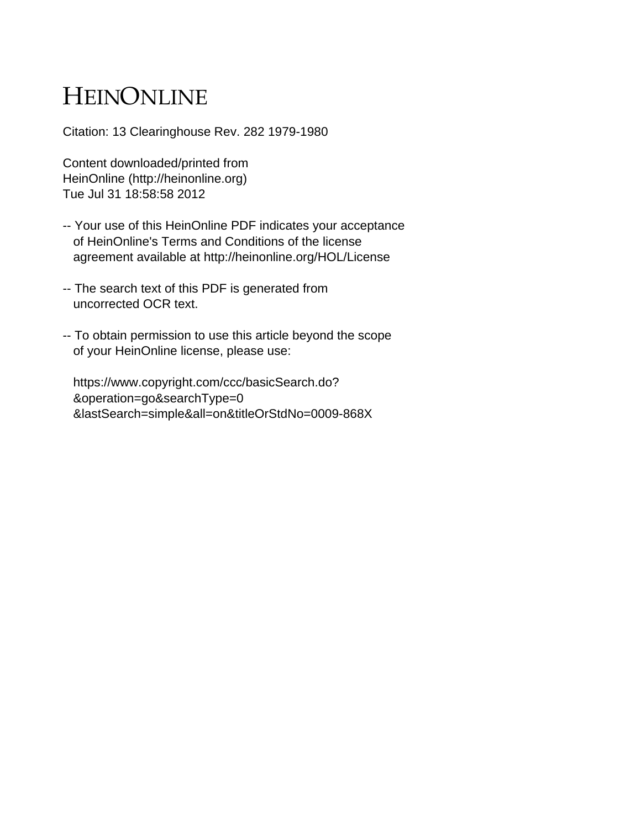# HEINONLINE

Citation: 13 Clearinghouse Rev. 282 1979-1980

Content downloaded/printed from HeinOnline (http://heinonline.org) Tue Jul 31 18:58:58 2012

- -- Your use of this HeinOnline PDF indicates your acceptance of HeinOnline's Terms and Conditions of the license agreement available at http://heinonline.org/HOL/License
- -- The search text of this PDF is generated from uncorrected OCR text.
- -- To obtain permission to use this article beyond the scope of your HeinOnline license, please use:

 https://www.copyright.com/ccc/basicSearch.do? &operation=go&searchType=0 &lastSearch=simple&all=on&titleOrStdNo=0009-868X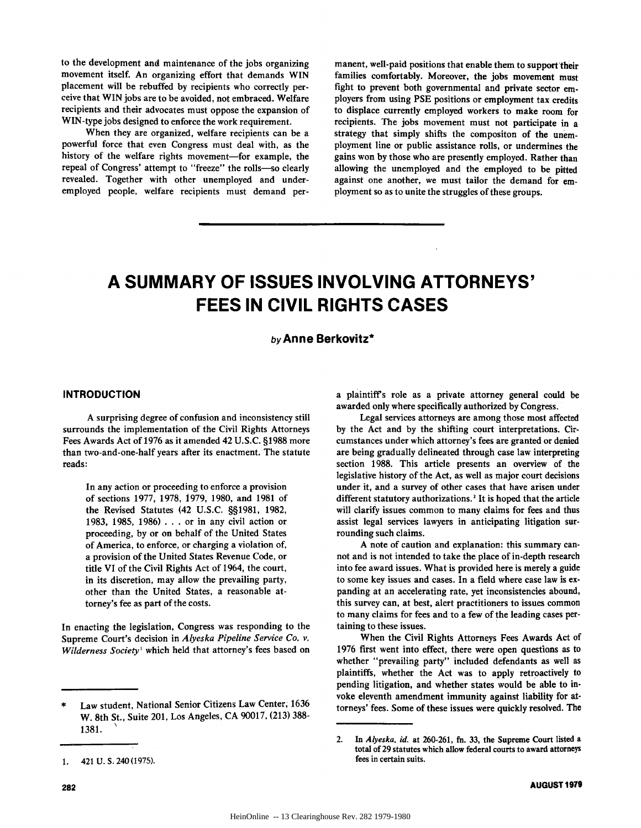to the development and maintenance of the jobs organizing movement itself. An organizing effort that demands WIN placement will be rebuffed **by** recipients who correctly perceive that WIN jobs are to be avoided, not embraced. Welfare recipients and their advocates must oppose the expansion of WIN-type jobs designed to enforce the work requirement.

When they are organized, welfare recipients can be a powerful force that even Congress must deal with, as the history of the welfare rights movement-for example, the repeal of Congress' attempt to "freeze" the rolls-so clearly revealed. Together with other unemployed and underemployed people, welfare recipients must demand permanent, well-paid positions that enable them to support their families comfortably. Moreover, the jobs movement must fight to prevent both governmental and private sector employers from using **PSE** positions or employment tax credits to displace currently employed workers to make room for recipients. The jobs movement must not participate in a strategy that simply shifts the compositon of the unemployment line or public assistance rolls, or undermines the gains won **by** those who are presently employed. Rather than allowing the unemployed and the employed to be pitted against one another, we must tailor the demand for employment so as to unite the struggles of these groups.

# **A SUMMARY OF ISSUES INVOLVING ATTORNEYS' FEES IN CIVIL RIGHTS CASES**

# by Anne Berkovitz\*

# **INTRODUCTION**

**A** surprising degree of confusion and inconsistency still surrounds the implementation of the Civil Rights Attorneys Fees Awards Act of **1976** as it amended 42 **U.S.C. §1988** more than two-and-one-half years after its enactment. The statute reads:

In any action or proceeding to enforce a provision of sections **1977, 1978, 1979, 1980,** and **1981** of the Revised Statutes (42 **U.S.C. §§1981, 1982, 1983, 1985, 1986) . .** . or in any civil action or proceeding, **by** or on behalf of the United States of America, to enforce, or charging a violation of, a provision of the United States Revenue Code, or title VI of the Civil Rights Act of 1964, the court, in its discretion, may allow the prevailing party, other than the United States, a reasonable attorney's fee as part of the costs.

In enacting the legislation, Congress was responding to the Supreme Court's decision in *Alyeska Pipeline Service Co. v. Wilderness Society'* which held that attorney's fees based on

Legal services attorneys are among those most affected **by** the Act and **by** the shifting court interpretations. Circumstances under which attorney's fees are granted or denied are being gradually delineated through case law interpreting section **1988.** This article presents an overview of the legislative history of the Act, as well as major court decisions under it, and a survey of other cases that have arisen under different statutory authorizations.<sup>2</sup> It is hoped that the article will clarify issues common to many claims for fees and thus assist legal services lawyers in anticipating litigation surrounding such claims.

**A** note of caution and explanation: this summary cannot and is not intended to take the place of in-depth research into fee award issues. What is provided here is merely a guide to some key issues and cases. In a field where case law is expanding at an accelerating rate, yet inconsistencies abound, this survey can, at best, alert practitioners to issues common to many claims for fees and to a few of the leading cases pertaining to these issues.

When the Civil Rights Attorneys Fees Awards Act of **1976** first went into effect, there were open questions as to whether "prevailing party" included defendants as well as plaintiffs, whether the Act was to apply retroactively to pending litigation, and whether states would be able to invoke eleventh amendment immunity against liability for attorneys' fees. Some of these issues were quickly resolved. The

**1.** 421 **U. S,** 240 **(1975).**

**<sup>\*</sup>** Law student, National Senior Citizens Law Center, **1636** W. 8th St., Suite 201, Los Angeles, **CA 90017, (213) 388- 1381.**

a plaintiff's role as a private attorney general could be awarded only where specifically authorized **by** Congress.

<sup>2.</sup> *In Alyeska. id.* at **260-261,** fn. **33,** the Supreme Court listed a total of **29** statutes which allow federal courts to award attorneys fees in certain suits.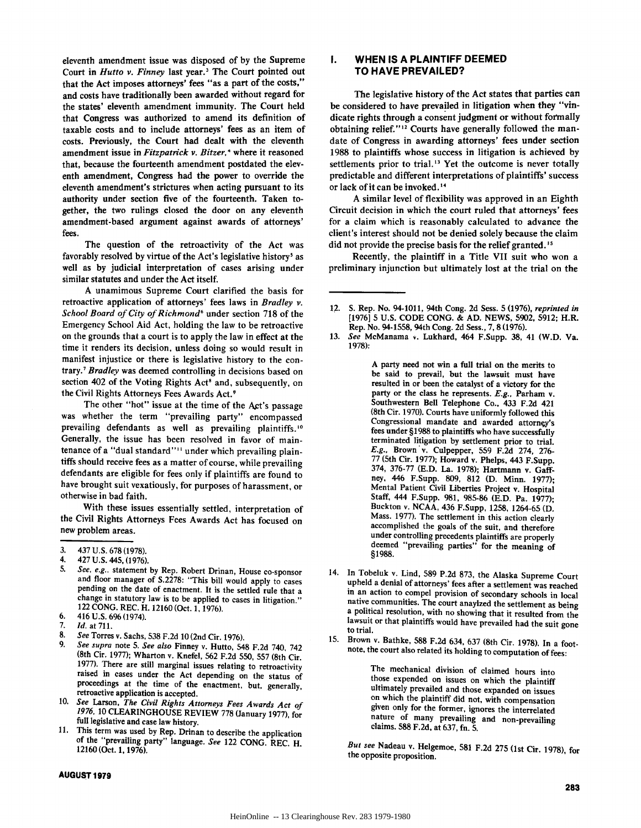eleventh amendment issue was disposed of **by** the Supreme Court in *Hutto v. Finney* last year.<sup>3</sup> The Court pointed out that the Act imposes attorneys' fees "as a part of the costs," and costs have traditionally been awarded without regard for the states' eleventh amendment immunity. The Court held that Congress was authorized to amend its definition of taxable **costs** and to include attorneys' fees as an item of costs. Previously, the Court had dealt with the eleventh amendment issue in *Fitzpatrick v. Bitzer*,<sup> $\cdot$ </sup> where it reasoned that, because the fourteenth amendment postdated the eleventh amendment, Congress had the power to override the eleventh amendment's strictures when acting pursuant to its authority under section five of the fourteenth. Taken together, the two rulings closed the door on any eleventh amendment-based argument against awards of attorneys' fees.

The question of the retroactivity of the Act was favorably resolved by virtue of the Act's legislative history<sup>5</sup> as well as **by** judicial interpretation of cases arising under similar statutes and under the Act itself.

**A** unamimous Supreme Court clarified the basis for retroactive application of attorneys' fees laws in *Bradley v. School Board of City of Richmond'* under section 718 of the Emergency School Aid Act, holding the law to be retroactive on the grounds that a court is to apply the law in effect at the time it renders its decision, unless doing so would result in manifest injustice or there is legislative history to the contrary.7 *Bradley* was deemed controlling in decisions based on section 402 of the Voting Rights Act<sup>8</sup> and, subsequently, on the Civil Rights Attorneys Fees Awards Act.'

The other "hot" issue at the time of the Act's passage was whether the term "prevailing party" encompassed prevailing defendants as well as prevailing plaintiffs.<sup>10</sup> Generally, the issue has been resolved in favor of maintenance of a "dual standard"<sup>11</sup> under which prevailing plaintiffs should receive fees as a matter of course, while prevailing defendants are eligible for fees only if plaintiffs are found to have brought suit vexatiously, for purposes of harassment, or otherwise in bad faith.

With these issues essentially settled, interpretation of the Civil Rights Attorneys Fees Awards Act has focused on new problem areas.

4. 427 U.S. 445, (1976).<br>5. See, e.g., statement by Rep. Robert Drinan, House co-sponsor and floor manager of S.2278: "This bill would apply to cases<br>pending on the date of enactment. It is the settled rule that a<br>change in statutory law is to be applied to cases in litigation." 122 CONG. REC. H. 12160 (Oct. 1, 1976).

- 7. *Id.* at **711.**
- 
- 8. *See* Torres v. Sachs, **538** F.2d 10 (2nd Cir. 1976). 9. *See supra* note **5.** *See also* Finney v. Hutto, 548 F.2d 740, 742 (8th Cir. 1977); Wharton v. Knefel, **562** F.2d **550, 557** (8th Cir. 1977). There are still marginal issues relating to retroactivity raised in cases under the Act depending on the status of proceedings at the time of the enactment, but, generally, retroactive application is accepted.
- 10. *See* Larson, *The Civil Rights Attorneys Fees Awards Act of 1976,* 10 CLEARINGHOUSE REVIEW 778 (January 1977), for full legislative and case law history.
- 11. This term was used by Rep. Drinan to describe the application of the "prevailing party" language. See 122 CONG. REC. H.<br>12160 (Oct. 1, 1976).

#### **AUGUST 1979**

#### **I. WHEN IS A PLAINTIFF DEEMED TO HAVE PREVAILED?**

The legislative history of the Act states that parties can be considered to have prevailed in litigation when they "vindicate rights through a consent judgment or without formally obtaining relief."<sup>12</sup> Courts have generally followed the mandate of Congress in awarding attorneys' fees under section 1988 to plaintiffs whose success in litigation is achieved by settlements prior to trial.<sup>13</sup> Yet the outcome is never totally predictable and different interpretations of plaintiffs' success or lack of it can be invoked.<sup>14</sup>

**A** similar level of flexibility was approved in an Eighth Circuit decision in which the court ruled that attorneys' fees for a claim which is reasonably calculated to advance the client's interest should not be denied solely because the claim did not provide the precise basis for the relief granted.<sup>15</sup>

Recently, the plaintiff in a Title VII suit who won a preliminary injunction but ultimately lost at the trial on the

**A** party need not win a full trial on the merits to be said to prevail, but the lawsuit must have resulted in or been the catalyst of a victory for the party or the class he represents. *E.g.,* Parham v. Southwestern Bell Telephone Co., 433 **F.2d** 421 (8th Cir. **1970).** Courts have uniformly followed this Congressional mandate and awarded attorney's terminated litigation by settlement prior to trial. *E.g.,* Brown'v. Culpepper, **559 F.2d** 274, **276- 77** (Sth Cir. **1977);** Howard v. Phelps, 443 F.Supp. 374, **376-77 (E.D.** La. **1978);** Hartmann v. Gaffney, 446 F.Supp. **809, 812 (D.** Minn. **1977);** Staff, 444 F.Supp. 981, 985-86 (E.D. Pa. 1977); Buckton v. **NCAA,** 436 F.Supp, **1258,** 1264-65 **(D.** Mass. **1977).** The settlement in this action clearly accomplished the goals of the suit, and therefore under controlling precedents plaintiffs are properly deemed "prevailing parties" for the meaning of **§1988.**

- 14. In Tobeluk v. Lind, **589 P.2d 873,** the Alaska Supreme Court upheld a denial of attorneys' fees after a settlement was reached in an action to compel provision of secondary schools in local native communities. The court anayized the settlement as being a political resolution, with no showing that it resulted from the lawsuit or that plaintiffs would have prevailed had the suit gone to trial.
- **15.** Brown v. Bathke, **588 F.2d** 634, **637** (8th Cir. **1978).** In a footnote, the court also related its holding to computation of fees:

The mechanical division of claimed hours into those expended on issues on which the plaintiff on which the plaintiff did not, with compensation given only for the former, ignores the interrelated nature of many prevailing and non-prevailing claims. **588 F.2d,** at **637,** fn. **5.**

*But see* Nadeau v. Helgemoe, **581 F.2d 275** (1st Cir. **1978),** for the opposite proposition.

<sup>3. 437</sup> U.S. 678 (1978).

<sup>6. 416</sup> U.S. 696 (1974).

<sup>12.</sup> **S.** Rep. No. 94-1011, 94th Cong. **2d** Sess. **5 (1976),** *reprinted in* **[1976] 5 U.S. CODE CONG. & AD. NEWS, 5902, 5912;** H.R. Rep. No. 94-1558, 94th Cong. **2d** Sess., **7, 8 (1976).**

**<sup>13.</sup>** *See* McManama **v.** Lukhard, 464 F.Supp. **38,** 41 (W.D. Va. **1978):**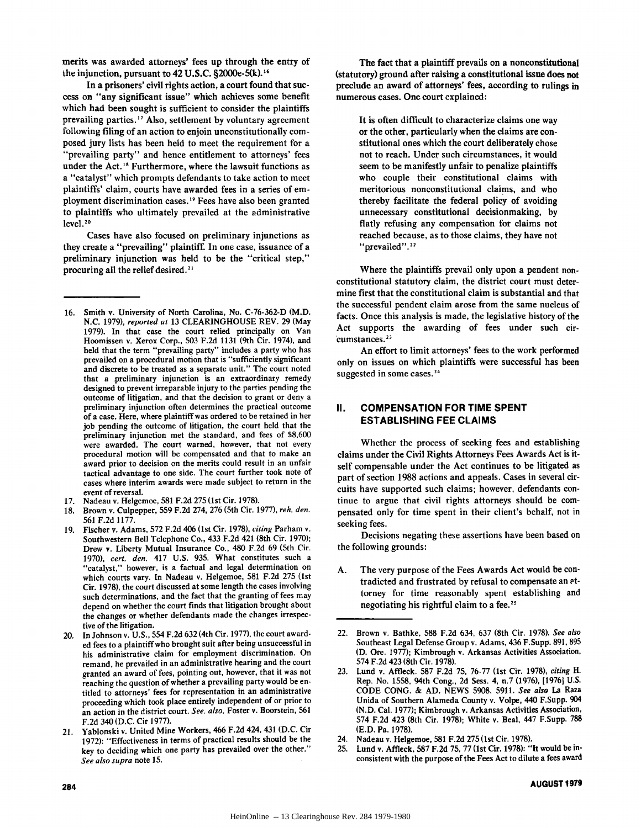merits was awarded attorneys' fees up through the entry of the injunction, pursuant to 42 **U.S.C.** §2000e-5(k). **<sup>16</sup>**

In a prisoners' civil rights action, a court found that success on "any significant issue" which achieves some benefit which had been sought is sufficient to consider the plaintiffs prevailing parties.<sup>17</sup> Also, settlement by voluntary agreement following filing of an action to enjoin unconstitutionally composed jury lists has been held to meet the requirement for a "prevailing party" and hence entitlement to attorneys' fees under the Act.<sup>18</sup> Furthermore, where the lawsuit functions as a "catalyst" which prompts defendants to take action to meet plaintiffs' claim, courts have awarded fees in a series of employment discrimination cases.<sup>19</sup> Fees have also been granted to plaintiffs who ultimately prevailed at the administrative level. **°**

Cases have also focused on preliminary injunctions as they create a "prevailing" plaintiff. In one case, issuance of a preliminary injunction was held to be the "critical step," procuring all the relief desired.<sup>21</sup>

- **16.** Smith v. University of North Carolina, No. **C-76-362-D** (M.D. **N.C.** 1979), *reported at* **13** CLEARINGHOUSE REV. **29** (May 1979). In that case the court relied principally on Van Hoomissen v. Xerox Corp., 503 F.2d 1131 (9th Cir. 1974), and held that the term "prevailing party" includes a party who has prevailed on a procedural motion that is "sufficiently significant and discrete to be treated as a separate unit." The court noted that a preliminary injunction is an extraordinary remedy designed to prevent irreparable injury to the parties pending the outcome of litigation, and that the decision to grant or deny a preliminary injunction often determines the practical outcome of a case. Here, where plaintiff was ordered to be retained in her job pending the outcome of litigation, the court held that the preliminary injunction met the standard, and fees of \$8,600 were awarded. The court warned, however, that not every procedural motion will be compensated and that to make an award prior to decision on the merits could result in an unfair tactical advantage to one side. The court further took note of cases where interim awards were made subject to return in the event of reversal.
- 17. Nadeau v. Helgemoe, **581** F.2d **275** (1st Cir. 1978).
- 18. Brown v. Culpepper, **559** F.2d 274, 276 (5th Cir. 1977), *reh. den.* **561** F.2d 1177.
- 19. Fischer v. Adams, **572** F.2d 406 (1st Cir. 1978), *citing* Parham v. Southwestern Bell Telephone Co., 433 F.2d 421 (8th Cir. 1970); Drew v. Liberty Mutual Insurance Co., 480 F.2d 69 (5th Cir.<br>1970). cert. den. 417 U.S. 935. What constitutes such a "catalyst," however, is a factual and legal determination on which courts vary. In Nadeau v. Helgemoe, **581** F.2d **275** (1st Cir. 1978), the court discussed at some length the cases involving such determinations, and the fact that the granting of fees may depend on whether the court finds that litigation brought about the changes or whether defendants made the changes irrespective of the litigation.
- 20. In Johnson v. U.S., 554 F.2d 632 (4th Cir. 1977), the court awarded fees to a plaintiff who brought suit after being unsuccessful in his administrative claim for employment discrimination. On remand, he prevailed in an administrative hearing and the court granted an award of fees, pointing out, however, that it was not reaching the question of whether a prevailing party would be entitled to attorneys' fees for representation in an administrative proceeding which took place entirely independent of or prior to an action in the district court. *See. also.* Foster v. Boorstein, **561** F.2d 340 (D.C. Cir 1977).
- 21. Yablonski v. United Mine Workers, 466 F.2d 424, 431 (D.C. Cir 1972): "Effectiveness in terms of practical results should be the key to deciding which one party has prevailed over the other." *See also supra* note **15.**

The fact that a plaintiff prevails on a nonconstitutional (statutory) ground after raising a constitutional issue does not preclude an award of attorneys' fees, according to rulings in numerous cases. One court explained:

It is often difficult to characterize claims one way or the other, particularly when the claims are constitutional ones which the court deliberately chose not to reach. Under such circumstances, it would seem to be manifestly unfair to penalize plaintiffs who couple their constitutional claims with meritorious nonconstitutional claims, and who thereby facilitate the federal policy of avoiding unnecessary constitutional decisionmaking, **by** flatly refusing any compensation for claims not reached because, as to those claims, they have not "prevailed".<sup>22</sup>

Where the plaintiffs prevail only upon a pendent nonconstitutional statutory claim, the district court must determine first that the constitutional claim is substantial and that the successful pendent claim arose from the same nucleus of facts. Once this analysis is made, the legislative history of the Act supports the awarding of fees under such circumstances.<sup>23</sup>

An effort to limit attorneys' fees to the work performed only on issues on which plaintiffs were successful has been suggested in some cases.<sup>24</sup>

# **II. COMPENSATION FOR TIME SPENT ESTABLISHING FEE CLAIMS**

Whether the process of seeking fees and establishing claims under the Civil Rights Attorneys Fees Awards Act is itself compensable under the Act continues to be litigated as part of section **1988** actions and appeals. Cases in several circuits have supported such claims; however, defendants continue to argue that civil rights attorneys should be compensated only for time spent in their client's behalf, not in seeking fees.

Decisions negating these assertions have been based on the following grounds:

- **A.** The very purpose of the Fees Awards Act would be contradicted and frustrated **by** refusal to compensate an ottorney for time reasonably spent establishing and negotiating his rightful claim to a fee. **2**
- 22. Brown v. Bathke, **588 F.2d** 634, **637** (8th Cir. **1978).** *See also* Southeast Legal Defense Group v. Adams, 436 F.Supp. **891, 895 (D.** Ore. **1977);** Kimbrough v. Arkansas Activities Association, 574 **F.2d** 423 (8th Cir. **1978).**
- **23.** Lund v. Affleck. **587 F.2d 75, 76-77** (1st Cir. **1978),** *citing H.* Rep. No. **1558,** 94th Cong., **2d** Sess. 4, n.7 **(1976), [1976] U.S. CODE** CONG. **& AD. NEWS 5908, 5911.** *See also* La Raza Unida of Southern Alameda County v. Volpe, 440 F.Supp. 904 **(N.D.** Cal. **1977);** Kimbrough v. Arkansas Activities Association, 574 **F.2d** 423 (8th Cir. **1978);** White v. Beal, 447 F.Supp. **788 (E.D.** Pa. **1978).**
- 24. Nadeau v. Helgemoe, **581 F.2d 275** (1st Cir. **1978).**
- **25.** Lund v. Affleck, **587 F.2d 75, 77** (1st Cir. **1978):** "It would be inconsistent with the purpose of the Fees Act to dilute a fees award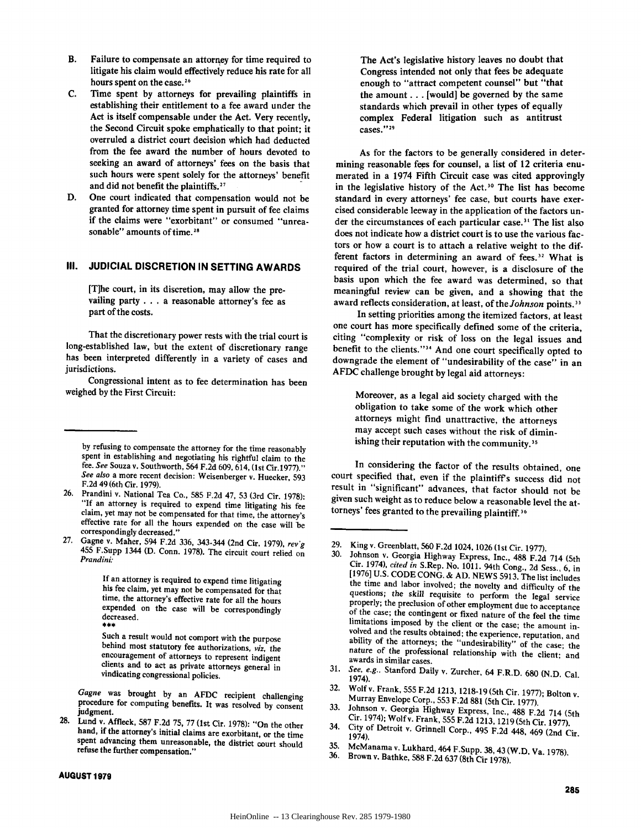- B. Failure to compensate an attorney for time required to litigate his claim would effectively reduce his rate for all hours spent on the case.<sup>26</sup>
- **C.** Time spent **by** attorneys for prevailing plaintiffs in establishing their entitlement to a fee award under the Act is itself compensable under the Act. Very recently, the Second Circuit spoke emphatically to that point; it overruled a district court decision which had deducted from the fee award the number of hours devoted to seeking an award of attorneys' fees on the basis that such hours were spent solely for the attorneys' benefit and did not benefit the plaintiffs.<sup>27</sup>
- **D.** One court indicated that compensation would not be granted for attorney time spent in pursuit of fee claims if the claims were "exorbitant" or consumed "unreasonable" amounts of time.<sup>28</sup>

# **III. JUDICIAL DISCRETION IN SETTING AWARDS**

[T]he court, in its discretion, may allow the prevailing party **. . .** a reasonable attorney's fee as part of the costs.

That the discretionary power rests with the trial court is long-established law, but the extent of discretionary range has been interpreted differently in a variety of cases and jurisdictions.

Congressional intent as to fee determination has been weighed **by** the First Circuit:

Such a result would not comport with the purpose behind most statutory fee authorizations, *viz,* the encouragement of attorneys to represent indigent clients and to act as private attorneys general in vindicating congressional policies.

*Gagne* was brought **by** an **AFDC** recipient challenging procedure for computing benefits. It was resolved **by** consent

judgment. **28.** Lund v. Affleck, **587 F.2d 75, 77** (1st Cir. **1978):** "On the other hand, if the attorney's initial claims are exorbitant, or the time spent advancing them unreasonable, the district court should refuse the further compensation."

The Act's legislative history leaves no doubt that Congress intended not only that fees be adequate enough to "attract competent counsel" but "that the amount. **. .** [would] be governed **by** the same standards which prevail in other types of equally complex Federal litigation such as antitrust cases."<sup>29</sup>

As for the factors to be generally considered in determining reasonable fees for counsel, a list of 12 criteria enumerated in a 1974 Fifth Circuit case was cited approvingly in the legislative history of the Act.30 The list has become standard in every attorneys' fee case, but courts have exercised considerable leeway in the application of the factors under the circumstances of each particular **case."** The list also does not indicate how a district court is to use the various factors or how a court is to attach a relative weight to the different factors in determining an award of fees.<sup>32</sup> What is required of the trial court, however, is a disclosure of the basis upon which the fee award was determined, so that meaningful review can be given, and a showing that the award reflects consideration, at least, of the *Johnson* points.<sup>33</sup>

In setting priorities among the itemized factors, at least one court has more specifically defined some of the criteria, citing "complexity or risk of loss on the legal issues and benefit to the clients."<sup>34</sup> And one court specifically opted to downgrade the element of "undesirability of the case" in an **AFDC** challenge brought **by** legal aid attorneys:

Moreover, as a legal aid society charged with the obligation to take some of the work which other attorneys might find unattractive, the attorneys may accept such cases without the risk of diminishing their reputation with the community.<sup>35</sup>

In considering the factor of the results obtained, one court specified that, even if the plaintiff's success did not result in "significant" advances, that factor should not be given such weight as to reduce below a reasonable level the **at**torneys' fees granted to the prevailing plaintiff.<sup>36</sup>

- 
- 
- Murray Envelope Corp., 553 F.2d 881 (5th Cir. 1977).<br>
33. Johnson v. Georgia Highway Express, Inc., 488 F.2d 714 (5th<br>
Cir. 1974); Wolf v. Frank, 555 F.2d 1213, 1219 (5th Cir. 1977).<br>
34. City of Detroit v. Grinnell Corp.,
- **35.** McManama v. Lukhard, 464 F.Supp. **38,43** (W.D. Va. **1978). 36.** Brown v. Bathke, **588 F.2d 637** (8th Cir **1978).**
- 

**by** refusing to compensate the attorney for the time reasonably spent in establishing and negotiating his rightful claim to the fee. *See* Souza v. Southworth, 564 **F.2d 609,** 614, (1st Cir.1977)." *See also* a more recent decision: Weisenberger v. Huecker, **<sup>593</sup>**

<sup>26.</sup> Prandini v. National Tea Co., 585 F.2d 47, 53 (3rd Cir. 1978):<br>"If an attorney is required to expend time litigating his fee<br>claim, yet may not be compensated for that time, the attorney's<br>effective rate for all the ho

correspondingly decreased."<br>Gagne v. Maher, 594 F.2d 336, 343-344 (2nd Cir. 1979), rev g **27.** Gagne v. Maher, 594 **F.2d 336,** 343-344 (2nd Cir. **1979),** *revg* 455 F.Supp 1344 **(D.** Conn. **1978).** The circuit court relied on *Prandini:*

**If** an attorney is required to expend time litigating his fee claim, yet may not be compensated for that time, the attorney's effective rate for all the hours expended on the case will be correspondingly decreased. \*\*\*

<sup>29.</sup> King v. Greenblatt, 560 F.2d 1024, 1026 (1st Cir. 1977).<br>30. Johnson v. Georgia Highway Express, Inc., 488 F.2d 714 (5th<br>Cir. 1974), *cited in* S.Rep. No. 1011. 94th Cong., 2d Sess., 6, in<br>[1976] U.S. CODE CONG. & AD. nature of the professional relationship with the client; and awards in similar cases.

**<sup>31.</sup>** *See, e.g..* Stanford Daily v. Zurcher, 64 F.R.D. **680 (N.D.** Cal. 1974).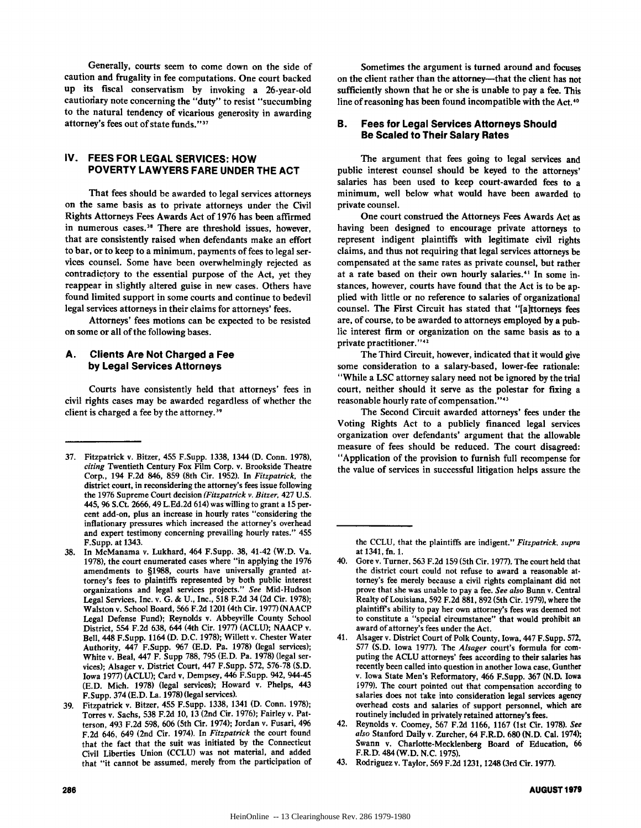Generally, courts seem to come down on the side of caution and frugality in fee computations. One court backed up its fiscal conservatism **by** invoking a 26-year-old cautioriary note concerning the "duty" to resist "succumbing to the natural tendency of vicarious generosity in awarding attorney's fees out of state funds."37

# **IV. FEES FOR LEGAL SERVICES: HOW POVERTY LAWYERS FARE UNDER THE ACT**

That fees should be awarded to legal services attorneys on the same basis as to private attorneys under the Civil Rights Attorneys Fees Awards Act of **1976** has been affirmed in numerous cases.<sup>38</sup> There are threshold issues, however, that are consistently raised when defendants make an effort to bar, or to keep to a minimum, payments of fees to legal services counsel. Some have been overwhelmingly rejected as contradictory to the essential purpose of the Act, yet they reappear in slightly altered guise in new cases. Others have found limited support in some courts and continue to bedevil legal services attorneys in their claims for attorneys' fees.

Attorneys' fees motions can be expected to be resisted on some or all of the following bases.

#### **A. Clients Are Not Charged a Fee by Legal Services Attorneys**

Courts have consistently held that attorneys' fees in civil rights cases may be awarded regardless of whether the client is charged a fee **by** the attorney.39

Sometimes the argument is turned around and focuses on the client rather than the attorney---that the client has not sufficiently shown that he or she is unable to pay a fee. This line of reasoning has been found incompatible with the Act.<sup>40</sup>

#### **B. Fees for Legal Services Attorneys Should Be Scaled to Their Salary Rates**

The argument that fees going to legal services and public interest counsel should be keyed to the attorneys' salaries has been used to keep court-awarded fees to a minimum, well below what would have been awarded to private counsel.

One court construed the Attorneys Fees Awards Act as having been designed to encourage private attorneys to represent indigent plaintiffs with legitimate civil rights claims, and thus not requiring that legal services attorneys be compensated at the same rates as private counsel, but rather at a rate based on their own hourly salaries.<sup>41</sup> In some instances, however, courts have found that the Act is to be applied with little or no reference to salaries of organizational counsel. The First Circuit has stated that "[aittorneys fees are, of course, to be awarded to attorneys employed **by** a public interest firm or organization on the same basis as to a private practitioner."42

The Third Circuit, however, indicated that it would give some consideration to a salary-based, lower-fee rationale: "While a **LSC** attorney salary need not be ignored **by** the trial court, neither should it serve as the polestar for fixing a reasonable hourly rate of compensation."<sup>43</sup>

The Second Circuit awarded attorneys' fees under the Voting Rights Act to a publicly financed legal services organization over defendants' argument that the allowable measure of fees should be reduced. The court disagreed: "Application of the provision to furnish full recompense for the value of services in successful litigation helps assure the

**<sup>37.</sup>** Fitzpatrick v. Bitzer, 455 F.Supp. **1338,** 1344 **(D.** Conn. **1978),** *citing* Twentieth Century Fox Film Corp. v. Brookside Theatre Corp., 194 **F.2d** 846, **859** (8th Cir. **1952).** In *Fitzpatrick,* the district court, in reconsidering the attorney's fees issue following the **1976** Supreme Court decision *(Fitzpatrick v. Bitzer,* 427 **U.S.** 445, **96** S.Ct. **2666,** 49 **L.Ed.2d** 614) was willing to grant a **15** percent add-on, plus an increase in hourly rates "considering the inflationary pressures which increased the attorney's overhead and expert testimony concerning prevailing hourly rates." 455 F.Supp. at 1343.

**<sup>38.</sup>** In McManama v. Lukhard, 464 F.Supp. **38,** 41-42 (W.D. Va. **1978),** the court enumerated cases where "in applying the **1976** amendments to **§1988,** courts have universally granted attorney's fees to plaintiffs represented **by** both public interest organizations and legal services projects." *See* Mid-Hudson Legal Services, Inc. v. **G. & U.,** Inc., **518 F.2d** 34 **(2d** Cir. **1978);** Walston v. School Board, **566 F.2d** 1201 **(4th** Cir. **1977) (NAACP** Legal Defense Fund); Reynolds v. Abbeyville County School District, 554 **F.2d 638,** 644 (4th Cir. **1977) (ACLU); NAACP** v. Bell, 448 F.Supp. 1164 **(D. D.C. 1978);** Willett v. Chester Water Authority, 447 F.Supp. **967 (E.D.** Pa. **1978)** (legal services); White v. Beal, 447 F. Supp **788, 795 (E.D.** Pa. **1978)** (legal services); Alsager **v.** District Court, 447 F.Supp. **572, 576-78 (S.D.** Iowa **1977) (ACLU);** Card v, Dempsey, 446 F.Supp. 942, 944-45 **(E.D.** Mich. **1978)** (legal services); Howard v. Phelps, 443 F.Supp. 374 **(E.D.** La. **1978)** (legal services).

**<sup>39.</sup>** Fitzpatrick v. Bitzer, 455 F.Supp. **1338,** 1341 **(D.** Conn. **1978);** Torres v. Sachs, **538 F.2d 10, 13** (2nd Cir. **1976);** Fairley v. Patterson, 493 **F.2d 598, 606** (5th Cir. 1974); Jordan v. Fusari, **496 F.2d** 646, 649 (2nd Cir. 1974). In *Fitzpatrick* the court found that the fact that the suit was initiated **by** the Connecticut Civil Liberties Union **(CCLU)** was not material, and added that "it cannot be assumed, merely from the participation of

the **CCLU,** that the plaintiffs are indigent." *Fitzpatrick, supra* at 1341, fn. **1.**

<sup>40.</sup> Gore v. Turner, **563 F.2d 159** (5th Cir. **1977).** The court held that the district court could not refuse to award a reasonable attorney's fee merely because a civil rights complainant did not prove that she was unable to pay a fee. *See also* Bunn v. Central Realty of Louisiana, **592 F.2d 881, 892** (5th Cir. **1979),** where the plaintiff's ability to pay her own attorney's fees was deemed not to constitute a "special circumstance" that would prohibit an award of attorney's fees under the Act.

<sup>41.</sup> Alsager v. District Court of Polk County, Iowa, 447 F.Supp. **572, 577 (S.D.** Iowa **1977).** The *Alsager* court's formula for computing the **ACLU** attorneys' fees according to their salaries has recently been called into question in another Iowa case, Gunther v. Iowa State Men's Reformatory, 466 F.Supp. **367 (N.D.** Iowa **1979).** The court pointed out that compensation according to salaries does not take into consideration legal services agency overhead costs and salaries of support personnel, which are routinely included in privately retained attorney's fees.

<sup>42.</sup> Reynolds v. Coomey, **567 F.2d 1166, 1167** (1st Cir. **1978).** *See also* Stanford Daily v. Zurcher, 64 F.R.D. **680 (N.D.** Cal. 1974); Swann v. Charlotte-Mecklenberg Board of Education, **66** F.R.D. 484 (W.D. **N.C. 1975).**

<sup>43.</sup> Rodriguez v. Taylor, **569 F.2d 1231,** 1248 **(3rd** Cir. **1977).**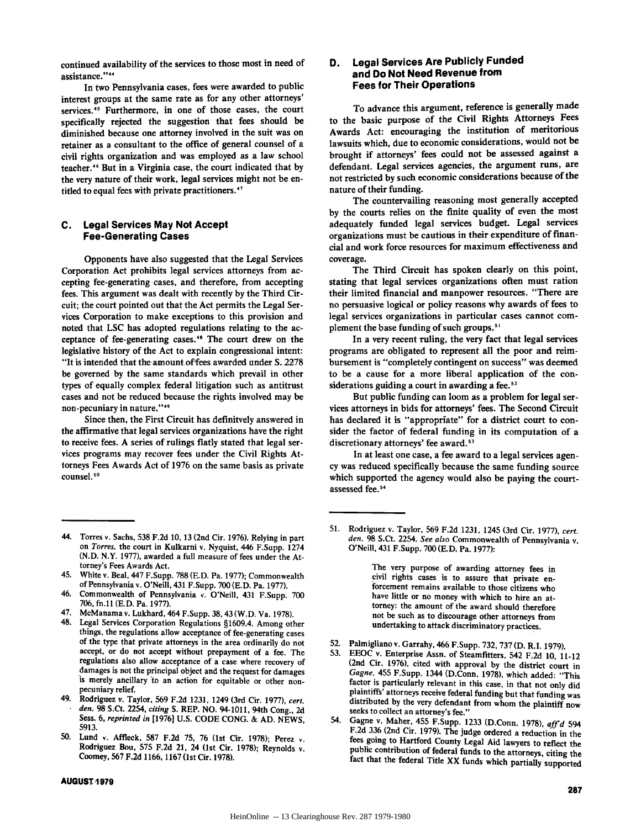continued availability of the services to those most in need of assistance."<sup>44</sup>

In two Pennsylvania cases, fees were awarded to public interest groups at the same rate as for any other attorneys' services.<sup>45</sup> Furthermore, in one of those cases, the court specifically rejected the suggestion that fees should be diminished because one attorney involved in the suit was on retainer as a consultant to the office of general counsel of a civil rights organization and was employed as a law school teacher.4 " But in a Virginia case, the court indicated that **by** the very nature of their work, legal services might not be entitled to equal fees with private practitioners.<sup>47</sup>

### **C. Legal Services May Not Accept Fee-Generating Cases**

Opponents have also suggested that the Legal Services Corporation Act prohibits legal services attorneys from accepting fee-generating cases, and therefore, from accepting fees. This argument was dealt with recently **by** the Third Circuit; the court pointed out that the Act permits the Legal Services Corporation to make exceptions to this provision and noted that **LSC** has adopted regulations relating to the acceptance of fee-generating cases.<sup>48</sup> The court drew on the legislative history of the Act to explain congressional intent: "It is intended that the amount. offees awarded under **S. 2278** be governed **by** the same standards which prevail in other types of equally complex federal litigation such as antitrust cases and not be reduced because the rights involved may be non-pecuniary in nature."<sup>49</sup>

Since then, the First Circuit has definitvely answered in the affirmative that legal services organizations have the right to receive fees. **A** series of rulings flatly stated that legal services programs may recover fees under the Civil Rights Attorneys Fees Awards Act of **1976** on the same basis as private counsel.<sup>50</sup>

- 45. White v. Beal, 447 F.Supp. **788 (E.D.** Pa. **1977);** Commonwealth of Pennsylvania v. O'Neill, 431 F.Supp. **700 (E.D.** Pa. **1977).**
- 46. Commonwealth of Pennsylvania **(.** O'Neill, 431 F.Supp. **700 706,** fn.11 **(E.D.** Pa. **1977).**
- 47. McManama v. Lukhard, 464 F.Supp. **38,43** (W.D. Va. **1978).**
- 48. Legal Services Corporation Regulations §1609.4. Among other things, the regulations allow acceptance of fee-generating cases **of** the type that private attorneys in the area ordinarily do not accept, or do not accept without prepayment of a fee. The regulations also allow acceptance of a case where recovery of damages is not the principal object and the request for damages is merely ancillary 'to an action for equitable or other nonpecuniary relief.
- 49. Rodriguez v. Taylor, **569 F.2d 1231,** 1249 (3rd Cir. **1977),** *cert. den.* **98 S.Ct.** 2254, *citing* **S.** REP. **NO.** 94-1011, 94th Cong., **2d** Sess. **6,** *reprinted in* **11976] U.S. CODE CONG. & AD. NEWS, 5913.**
- **50.** Lund **(.** Affleck, **587 F.2d 75, 76** (1st Cir. **1978);** Perez **v.** Rodriguez Bou, **575 F.2d** 21, 24 (1st Cir. **1978);** Reynolds v. Coomey, **567 F.2d 1166, 1167 (1** st Cir. **1978).**

#### **AUGUST,1979**

# **D. Legal Services Are Publicly Funded and Do Not Need Revenue from Fees for Their Operations**

To advance this argument, reference is generally made to the basic purpose of the Civil Rights Attorneys Fees Awards Act: encouraging the institution of meritorious lawsuits which, due to economic considerations, would not be brought if attorneys' fees could not be assessed against a defendant. Legal services agencies, the argument runs, are not restricted **by** such economic considerations because of the nature of their funding.

The countervailing reasoning most generally accepted **by** the courts relies on the finite quality of even the most adequately funded legal services budget. Legal services organizations must be cautious in their expenditure of financial and work force resources for maximum effectiveness and coverage.

The Third Circuit has spoken clearly on this point, stating that legal services organizations often must ration their limited financial and manpower resources. "There are no persuasive logical or policy reasons why awards of fees to legal services organizations in particular cases cannot complement the base funding of such groups.'

In a very recent ruling, the very fact that legal services programs are obligated to represent all the poor and reimbursement is "completely contingent on success" was deemed to be a cause for a more liberal application of the considerations guiding a court in awarding a fee. $52$ 

But public funding can loom as a problem for legal services attorneys in bids for attorneys' fees. The Second Circuit has declared it is "appropriate" for a district court to consider the factor of federal funding in its computation of a discretionary attorneys' fee award.<sup>53</sup>

In at least one case, a fee award to a legal services agency was reduced specifically because the same funding source which supported the agency would also be paying the courtassessed fee.<sup>54</sup>

**51.** Rodriguez v. Taylor, **569 F.2d 1231,** 1245 **(3rd** Cir. **1977),** *cert. den.* **98** S.Ct. 2254. *See also* Commonwealth of Pennsylvania v. O'Neill, 431 F.Supp. **700 (E.D.** Pa. **1977):**

> The very purpose of awarding attorney fees in civil rights cases is to assure that private enforcement remains available to those citizens who have little or no money with which to hire an attorney: the amount of the award should therefore not be such as to discourage other attorneys from undertaking to attack discriminatory practices.

- 52. Palmigliano v. Garrahy, 466 F.Supp. **732, 737 (D.** R.I. **1979).**
- **53.** EEOC v. Enterprise Assn. of Steamfitters, 542 F.2d **10,** 11-12 (2nd Cir. 1976), cited with approval by the district court in *Gagne,* 455 F.Supp. 1344 (D.Conn. 1978), which added: "This factor is particularly relevant in this case, in that not only did plaintiffs' attorneys receive federal funding but that funding was distributed by the very defendant from whom the plaintiff now seeks to collect an attorney's fee."
- 54. Gagne v. Maher, 455 F.Supp. **1233** (D.Conn. **1978),** *affd* 594 F.2d 336 (2nd Cir. 1979). The judge ordered a reduction in the fees going to Hartford County Legal Aid lawyers to reflect the public contribution of federal funds to the attorneys, citing the fact that the federal Title XX funds which partially supported

<sup>44.</sup> Torres v. Sachs, **538 F.2d 10, 13** (2nd Cir. **1976).** Relying in part on *Torres,* the court in Kulkarni v. Nyquist, 446 F.Supp. 1274 **(N.D.** N.Y. **1977),** awarded a full measure of fees under the Attorney's Fees Awards Act.